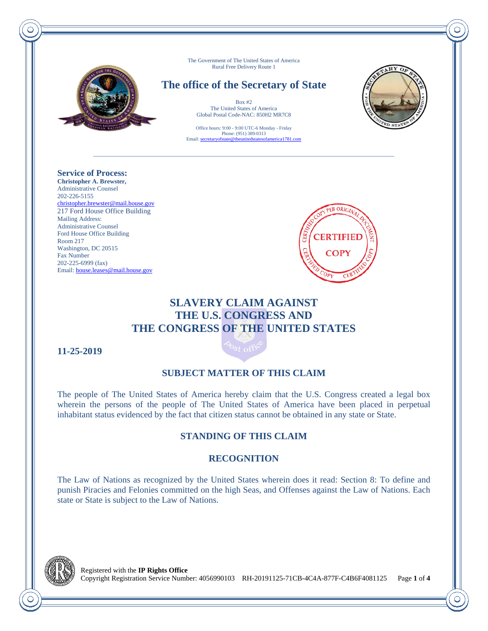

The Government of The United States of America Rural Free Delivery Route 1

# **The office of the Secretary of State**

Box #2 The United States of America Global Postal Code-NAC: 850H2 MR7C8

Office hours: 9:00 - 9:00 UTC-6 Monday - Friday Phone: (951) 389-0313 Email: secretaryofstate@theunitedstatesofamerica1781.com



#### **Service of Process:**

**Christopher A. Brewster,**  Administrative Counsel 202-226-5155 christopher.brewster@mail.house.gov 217 Ford House Office Building Mailing Address: Administrative Counsel Ford House Office Building Room 217 Washington, DC 20515 Fax Number 202-225-6999 (fax) Email: house.leases@mail.house.gov



# **SLAVERY CLAIM AGAINST THE U.S. CONGRESS AND THE CONGRESS OF THE UNITED STATES**

#### **11-25-2019**

# **SUBJECT MATTER OF THIS CLAIM**

The people of The United States of America hereby claim that the U.S. Congress created a legal box wherein the persons of the people of The United States of America have been placed in perpetual inhabitant status evidenced by the fact that citizen status cannot be obtained in any state or State.

# **STANDING OF THIS CLAIM**

#### **RECOGNITION**

The Law of Nations as recognized by the United States wherein does it read: Section 8: To define and punish Piracies and Felonies committed on the high Seas, and Offenses against the Law of Nations. Each state or State is subject to the Law of Nations.

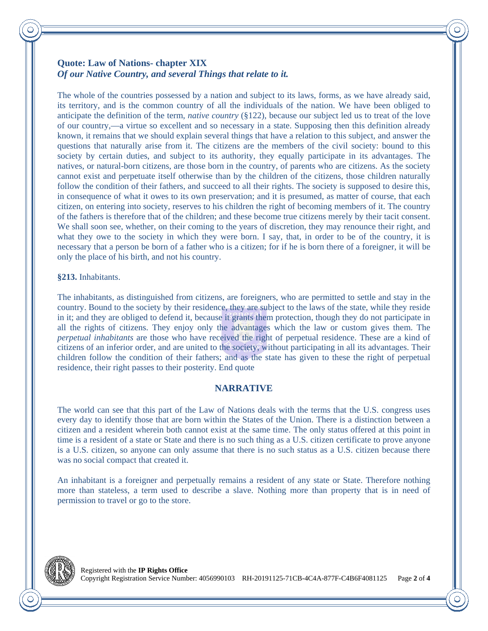## **Quote: Law of Nations- chapter XIX** *Of our Native Country, and several Things that relate to it.*

The whole of the countries possessed by a nation and subject to its laws, forms, as we have already said, its territory, and is the common country of all the individuals of the nation. We have been obliged to anticipate the definition of the term, *native country* (§122), because our subject led us to treat of the love of our country,—a virtue so excellent and so necessary in a state. Supposing then this definition already known, it remains that we should explain several things that have a relation to this subject, and answer the questions that naturally arise from it. The citizens are the members of the civil society: bound to this society by certain duties, and subject to its authority, they equally participate in its advantages. The natives, or natural-born citizens, are those born in the country, of parents who are citizens. As the society cannot exist and perpetuate itself otherwise than by the children of the citizens, those children naturally follow the condition of their fathers, and succeed to all their rights. The society is supposed to desire this, in consequence of what it owes to its own preservation; and it is presumed, as matter of course, that each citizen, on entering into society, reserves to his children the right of becoming members of it. The country of the fathers is therefore that of the children; and these become true citizens merely by their tacit consent. We shall soon see, whether, on their coming to the years of discretion, they may renounce their right, and what they owe to the society in which they were born. I say, that, in order to be of the country, it is necessary that a person be born of a father who is a citizen; for if he is born there of a foreigner, it will be only the place of his birth, and not his country.

#### **§213.** Inhabitants.

The inhabitants, as distinguished from citizens, are foreigners, who are permitted to settle and stay in the country. Bound to the society by their residence, they are subject to the laws of the state, while they reside in it; and they are obliged to defend it, because it grants them protection, though they do not participate in all the rights of citizens. They enjoy only the advantages which the law or custom gives them. The *perpetual inhabitants* are those who have received the right of perpetual residence. These are a kind of citizens of an inferior order, and are united to the society, without participating in all its advantages. Their children follow the condition of their fathers; and as the state has given to these the right of perpetual residence, their right passes to their posterity. End quote

#### **NARRATIVE**

The world can see that this part of the Law of Nations deals with the terms that the U.S. congress uses every day to identify those that are born within the States of the Union. There is a distinction between a citizen and a resident wherein both cannot exist at the same time. The only status offered at this point in time is a resident of a state or State and there is no such thing as a U.S. citizen certificate to prove anyone is a U.S. citizen, so anyone can only assume that there is no such status as a U.S. citizen because there was no social compact that created it.

An inhabitant is a foreigner and perpetually remains a resident of any state or State. Therefore nothing more than stateless, a term used to describe a slave. Nothing more than property that is in need of permission to travel or go to the store.

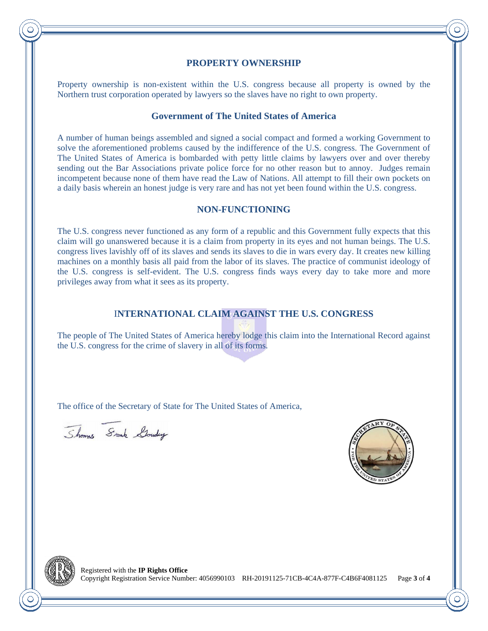## **PROPERTY OWNERSHIP**

Property ownership is non-existent within the U.S. congress because all property is owned by the Northern trust corporation operated by lawyers so the slaves have no right to own property.

## **Government of The United States of America**

A number of human beings assembled and signed a social compact and formed a working Government to solve the aforementioned problems caused by the indifference of the U.S. congress. The Government of The United States of America is bombarded with petty little claims by lawyers over and over thereby sending out the Bar Associations private police force for no other reason but to annoy. Judges remain incompetent because none of them have read the Law of Nations. All attempt to fill their own pockets on a daily basis wherein an honest judge is very rare and has not yet been found within the U.S. congress.

#### **NON-FUNCTIONING**

The U.S. congress never functioned as any form of a republic and this Government fully expects that this claim will go unanswered because it is a claim from property in its eyes and not human beings. The U.S. congress lives lavishly off of its slaves and sends its slaves to die in wars every day. It creates new killing machines on a monthly basis all paid from the labor of its slaves. The practice of communist ideology of the U.S. congress is self-evident. The U.S. congress finds ways every day to take more and more privileges away from what it sees as its property.

# I**NTERNATIONAL CLAIM AGAINST THE U.S. CONGRESS**

The people of The United States of America hereby lodge this claim into the International Record against the U.S. congress for the crime of slavery in all of its forms.

The office of the Secretary of State for The United States of America,

Shows Stank Gouday